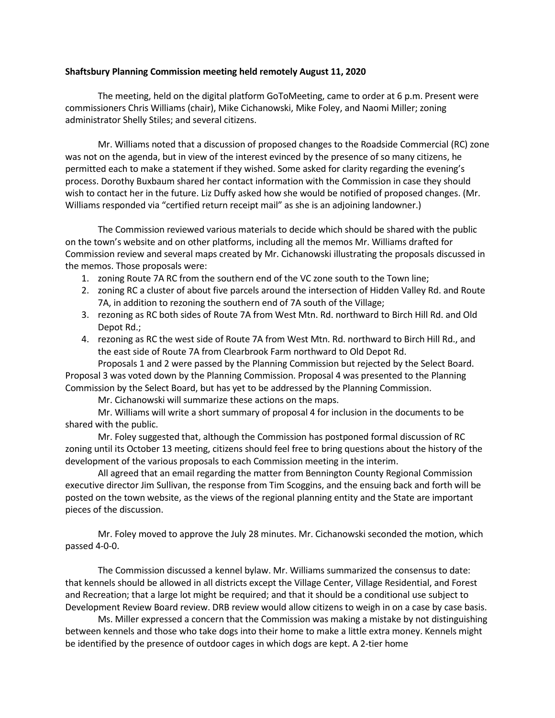## Shaftsbury Planning Commission meeting held remotely August 11, 2020

The meeting, held on the digital platform GoToMeeting, came to order at 6 p.m. Present were commissioners Chris Williams (chair), Mike Cichanowski, Mike Foley, and Naomi Miller; zoning administrator Shelly Stiles; and several citizens.

Mr. Williams noted that a discussion of proposed changes to the Roadside Commercial (RC) zone was not on the agenda, but in view of the interest evinced by the presence of so many citizens, he permitted each to make a statement if they wished. Some asked for clarity regarding the evening's process. Dorothy Buxbaum shared her contact information with the Commission in case they should wish to contact her in the future. Liz Duffy asked how she would be notified of proposed changes. (Mr. Williams responded via "certified return receipt mail" as she is an adjoining landowner.)

The Commission reviewed various materials to decide which should be shared with the public on the town's website and on other platforms, including all the memos Mr. Williams drafted for Commission review and several maps created by Mr. Cichanowski illustrating the proposals discussed in the memos. Those proposals were:

- 1. zoning Route 7A RC from the southern end of the VC zone south to the Town line;
- 2. zoning RC a cluster of about five parcels around the intersection of Hidden Valley Rd. and Route 7A, in addition to rezoning the southern end of 7A south of the Village;
- 3. rezoning as RC both sides of Route 7A from West Mtn. Rd. northward to Birch Hill Rd. and Old Depot Rd.;
- 4. rezoning as RC the west side of Route 7A from West Mtn. Rd. northward to Birch Hill Rd., and the east side of Route 7A from Clearbrook Farm northward to Old Depot Rd.

Proposals 1 and 2 were passed by the Planning Commission but rejected by the Select Board. Proposal 3 was voted down by the Planning Commission. Proposal 4 was presented to the Planning Commission by the Select Board, but has yet to be addressed by the Planning Commission.

Mr. Cichanowski will summarize these actions on the maps.

Mr. Williams will write a short summary of proposal 4 for inclusion in the documents to be shared with the public.

Mr. Foley suggested that, although the Commission has postponed formal discussion of RC zoning until its October 13 meeting, citizens should feel free to bring questions about the history of the development of the various proposals to each Commission meeting in the interim.

All agreed that an email regarding the matter from Bennington County Regional Commission executive director Jim Sullivan, the response from Tim Scoggins, and the ensuing back and forth will be posted on the town website, as the views of the regional planning entity and the State are important pieces of the discussion.

Mr. Foley moved to approve the July 28 minutes. Mr. Cichanowski seconded the motion, which passed 4-0-0.

The Commission discussed a kennel bylaw. Mr. Williams summarized the consensus to date: that kennels should be allowed in all districts except the Village Center, Village Residential, and Forest and Recreation; that a large lot might be required; and that it should be a conditional use subject to Development Review Board review. DRB review would allow citizens to weigh in on a case by case basis.

Ms. Miller expressed a concern that the Commission was making a mistake by not distinguishing between kennels and those who take dogs into their home to make a little extra money. Kennels might be identified by the presence of outdoor cages in which dogs are kept. A 2-tier home